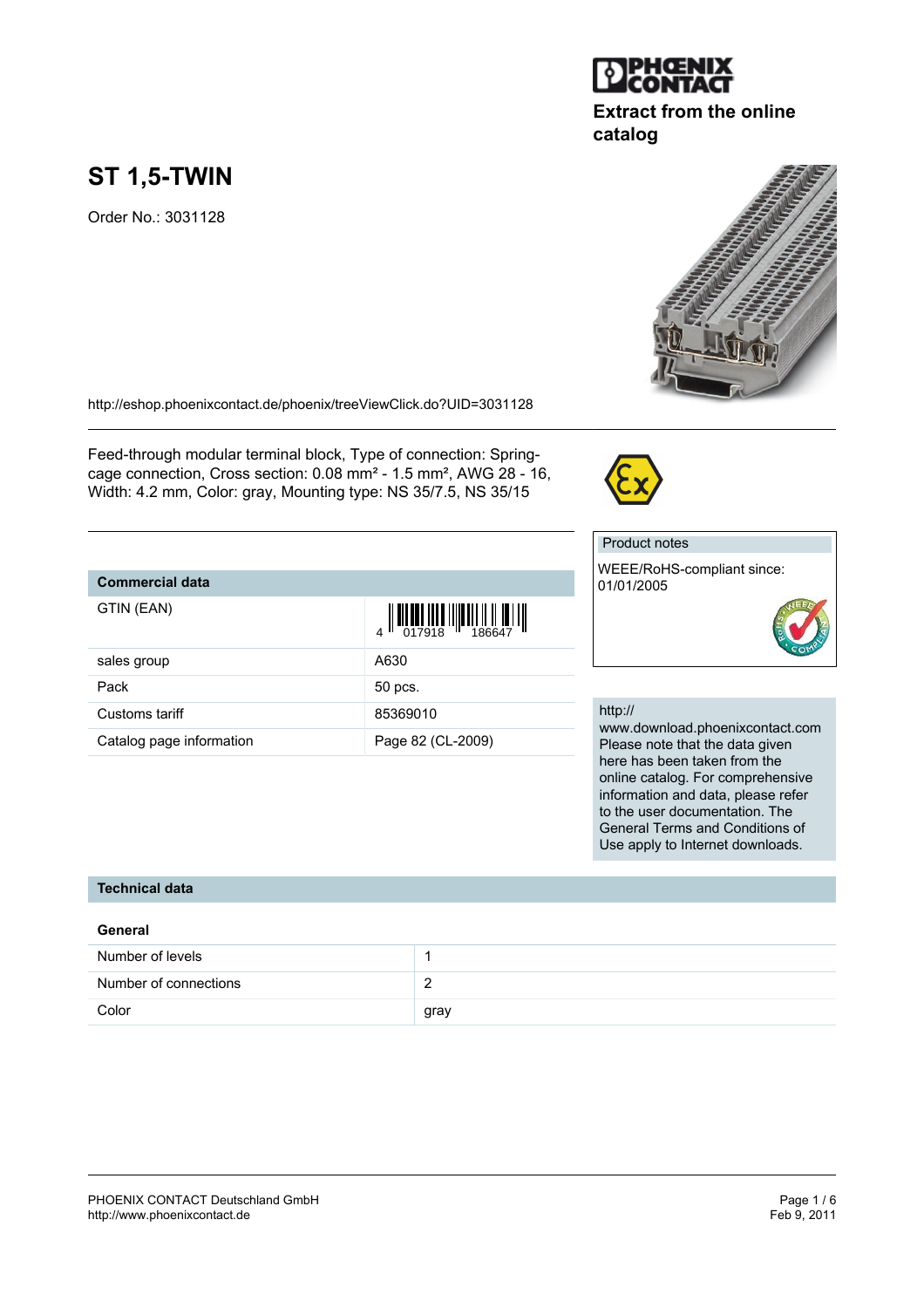#### PHOENIX CONTACT Deutschland GmbH<br>
http://www.phoenixcontact.de<br>
Feb 9, 2011 <http://www.phoenixcontact.de>

# **ST 1,5-TWIN**

Order No.: 3031128

<http://eshop.phoenixcontact.de/phoenix/treeViewClick.do?UID=3031128>

Feed-through modular terminal block, Type of connection: Springcage connection, Cross section: 0.08 mm² - 1.5 mm², AWG 28 - 16, Width: 4.2 mm, Color: gray, Mounting type: NS 35/7.5, NS 35/15

## **Commercial data**

| sales group              | A630              |
|--------------------------|-------------------|
| Pack                     | 50 pcs.           |
| Customs tariff           | 85369010          |
| Catalog page information | Page 82 (CL-2009) |

http:// www.download.phoenixcontact.com Please note that the data given here has been taken from the online catalog. For comprehensive information and data, please refer to the user documentation. The General Terms and Conditions of Use apply to Internet downloads.

#### **Technical data**

| General               |      |
|-----------------------|------|
| Number of levels      |      |
| Number of connections |      |
| Color                 | gray |

TENERATION AND TENERATION







01/01/2005

Product notes

WEEE/RoHS-compliant since:

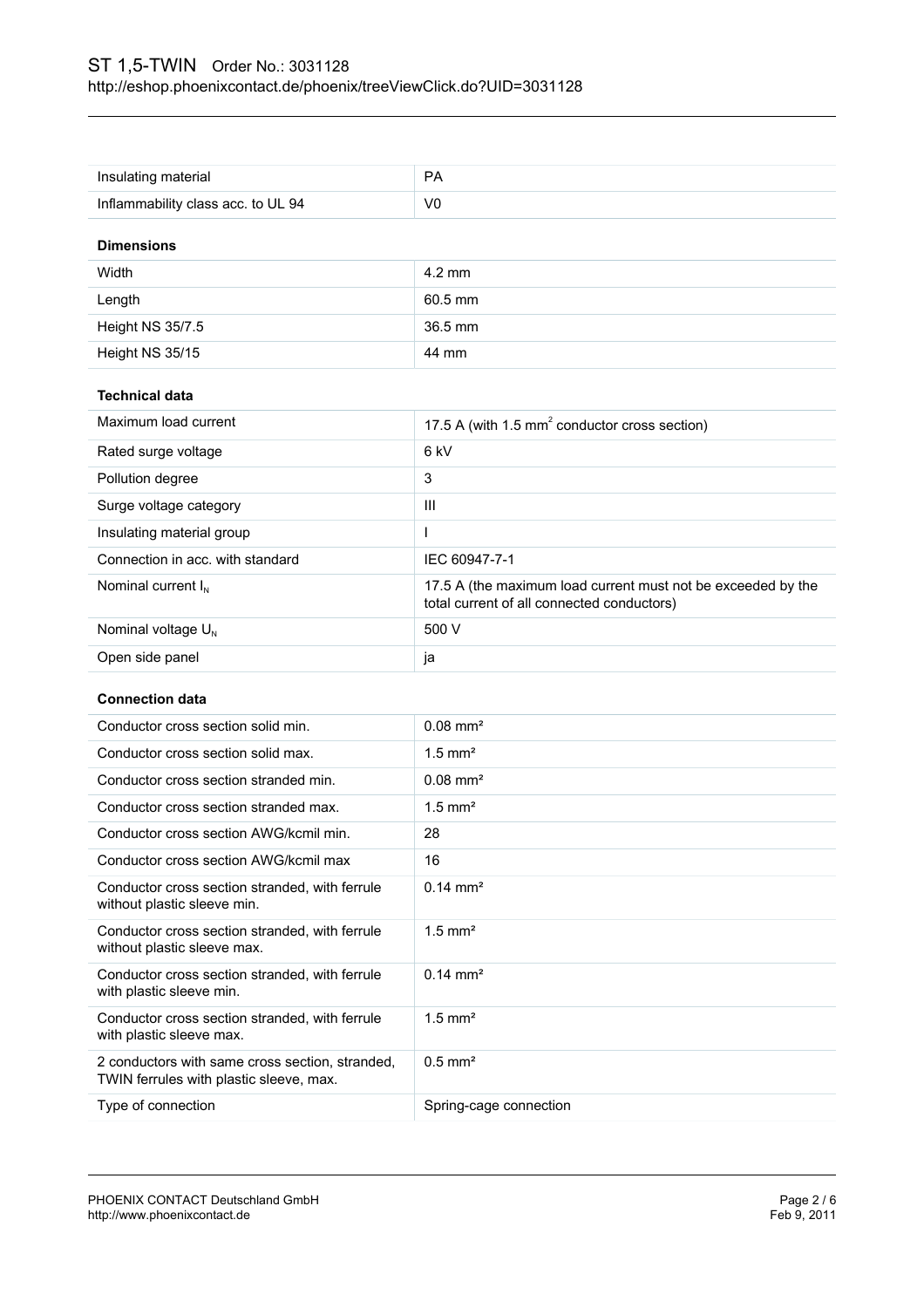| Insulating material                | <b>PA</b>        |  |
|------------------------------------|------------------|--|
| Inflammability class acc. to UL 94 | V <sub>0</sub>   |  |
| <b>Dimensions</b>                  |                  |  |
| Width                              | $4.2 \text{ mm}$ |  |
| Length                             | 60.5 mm          |  |
| Height NS 35/7.5                   | 36.5 mm          |  |
| Height NS 35/15                    | 44 mm            |  |
|                                    |                  |  |

#### **Technical data**

| Maximum load current             | 17.5 A (with 1.5 $mm2$ conductor cross section)                                                            |
|----------------------------------|------------------------------------------------------------------------------------------------------------|
| Rated surge voltage              | 6 kV                                                                                                       |
| Pollution degree                 | 3                                                                                                          |
| Surge voltage category           | Ш                                                                                                          |
| Insulating material group        |                                                                                                            |
| Connection in acc. with standard | IEC 60947-7-1                                                                                              |
| Nominal current $I_N$            | 17.5 A (the maximum load current must not be exceeded by the<br>total current of all connected conductors) |
| Nominal voltage $U_{N}$          | 500 V                                                                                                      |
| Open side panel                  | ja                                                                                                         |

#### **Connection data**

| Conductor cross section solid min.                                                         | $0.08 \text{ mm}^2$    |
|--------------------------------------------------------------------------------------------|------------------------|
| Conductor cross section solid max.                                                         | $1.5$ mm <sup>2</sup>  |
| Conductor cross section stranded min.                                                      | $0.08$ mm <sup>2</sup> |
| Conductor cross section stranded max.                                                      | $1.5$ mm <sup>2</sup>  |
| Conductor cross section AWG/kcmil min.                                                     | 28                     |
| Conductor cross section AWG/kcmil max                                                      | 16                     |
| Conductor cross section stranded, with ferrule<br>without plastic sleeve min.              | $0.14 \text{ mm}^2$    |
| Conductor cross section stranded, with ferrule<br>without plastic sleeve max.              | $1.5$ mm <sup>2</sup>  |
| Conductor cross section stranded, with ferrule<br>with plastic sleeve min.                 | $0.14 \text{ mm}^2$    |
| Conductor cross section stranded, with ferrule<br>with plastic sleeve max.                 | $1.5$ mm <sup>2</sup>  |
| 2 conductors with same cross section, stranded,<br>TWIN ferrules with plastic sleeve, max. | $0.5$ mm <sup>2</sup>  |
| Type of connection                                                                         | Spring-cage connection |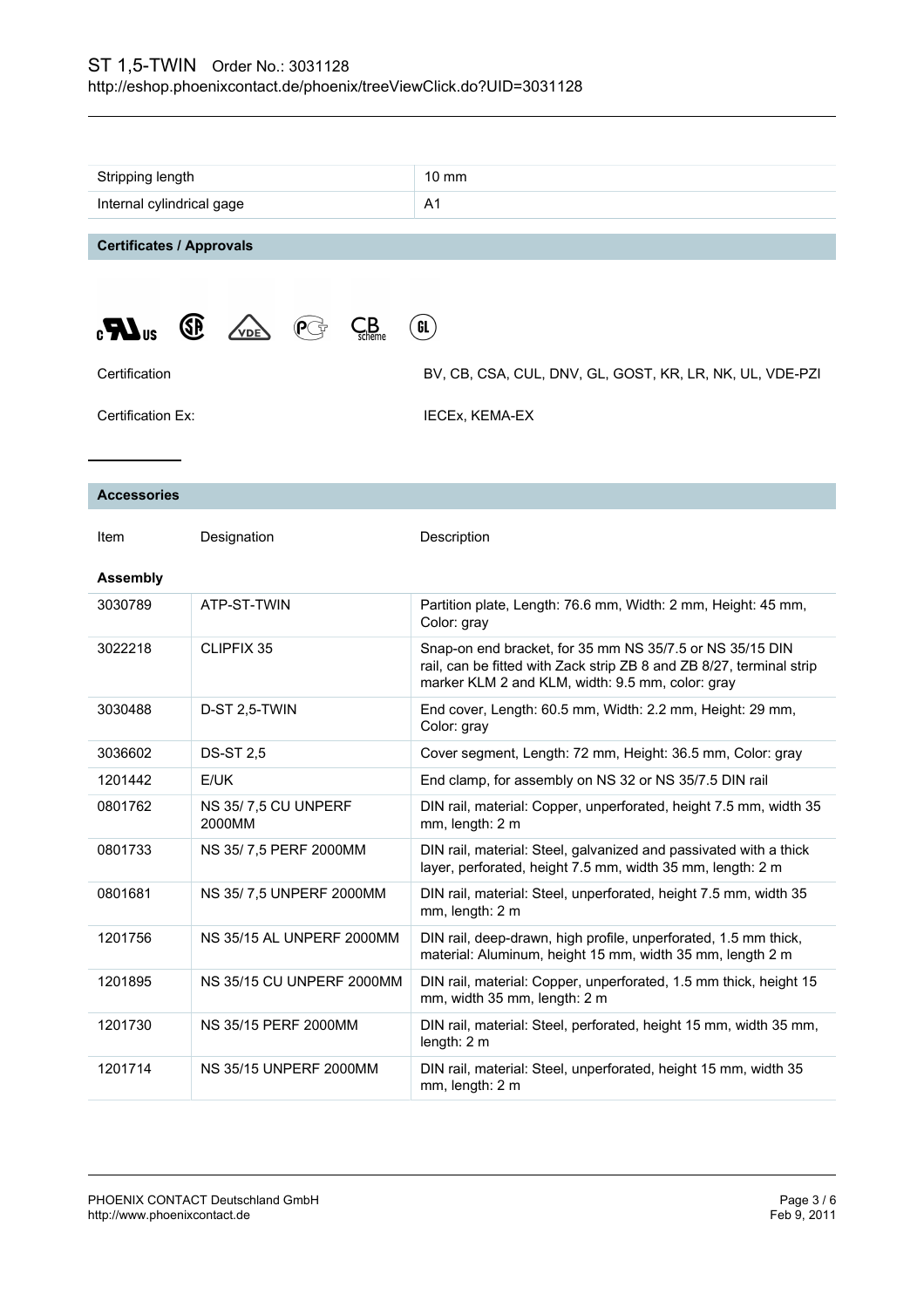| Stripping length                                                                 |                               | $10 \text{ mm}$                                                                                                                                                                      |
|----------------------------------------------------------------------------------|-------------------------------|--------------------------------------------------------------------------------------------------------------------------------------------------------------------------------------|
| Internal cylindrical gage                                                        |                               | A <sub>1</sub>                                                                                                                                                                       |
| <b>Certificates / Approvals</b>                                                  |                               |                                                                                                                                                                                      |
| $\mathcal{L}_{\mathsf{scheme}}$<br><b>GE</b><br>GL<br>$\mathbf{R}$<br><b>VDE</b> |                               |                                                                                                                                                                                      |
| Certification                                                                    |                               | BV, CB, CSA, CUL, DNV, GL, GOST, KR, LR, NK, UL, VDE-PZI                                                                                                                             |
| Certification Ex:                                                                |                               | <b>IECEx, KEMA-EX</b>                                                                                                                                                                |
| <b>Accessories</b>                                                               |                               |                                                                                                                                                                                      |
| Item                                                                             | Designation                   | Description                                                                                                                                                                          |
| <b>Assembly</b>                                                                  |                               |                                                                                                                                                                                      |
| 3030789                                                                          | ATP-ST-TWIN                   | Partition plate, Length: 76.6 mm, Width: 2 mm, Height: 45 mm,<br>Color: gray                                                                                                         |
| 3022218                                                                          | CLIPFIX 35                    | Snap-on end bracket, for 35 mm NS 35/7.5 or NS 35/15 DIN<br>rail, can be fitted with Zack strip ZB 8 and ZB 8/27, terminal strip<br>marker KLM 2 and KLM, width: 9.5 mm, color: gray |
| 3030488                                                                          | D-ST 2,5-TWIN                 | End cover, Length: 60.5 mm, Width: 2.2 mm, Height: 29 mm,<br>Color: gray                                                                                                             |
| 3036602                                                                          | <b>DS-ST 2,5</b>              | Cover segment, Length: 72 mm, Height: 36.5 mm, Color: gray                                                                                                                           |
| 1201442                                                                          | E/UK                          | End clamp, for assembly on NS 32 or NS 35/7.5 DIN rail                                                                                                                               |
| 0801762                                                                          | NS 35/7,5 CU UNPERF<br>2000MM | DIN rail, material: Copper, unperforated, height 7.5 mm, width 35<br>mm, length: 2 m                                                                                                 |
| 0801733                                                                          | NS 35/7,5 PERF 2000MM         | DIN rail, material: Steel, galvanized and passivated with a thick<br>layer, perforated, height 7.5 mm, width 35 mm, length: 2 m                                                      |
| 0801681                                                                          | NS 35/7,5 UNPERF 2000MM       | DIN rail, material: Steel, unperforated, height 7.5 mm, width 35<br>mm, length: 2 m                                                                                                  |
| 1201756                                                                          | NS 35/15 AL UNPERF 2000MM     | DIN rail, deep-drawn, high profile, unperforated, 1.5 mm thick,<br>material: Aluminum, height 15 mm, width 35 mm, length 2 m                                                         |
| 1201895                                                                          | NS 35/15 CU UNPERF 2000MM     | DIN rail, material: Copper, unperforated, 1.5 mm thick, height 15<br>mm, width 35 mm, length: 2 m                                                                                    |
| 1201730                                                                          | NS 35/15 PERF 2000MM          | DIN rail, material: Steel, perforated, height 15 mm, width 35 mm,<br>length: $2m$                                                                                                    |
| 1201714                                                                          | <b>NS 35/15 UNPERF 2000MM</b> | DIN rail, material: Steel, unperforated, height 15 mm, width 35<br>mm, length: 2 m                                                                                                   |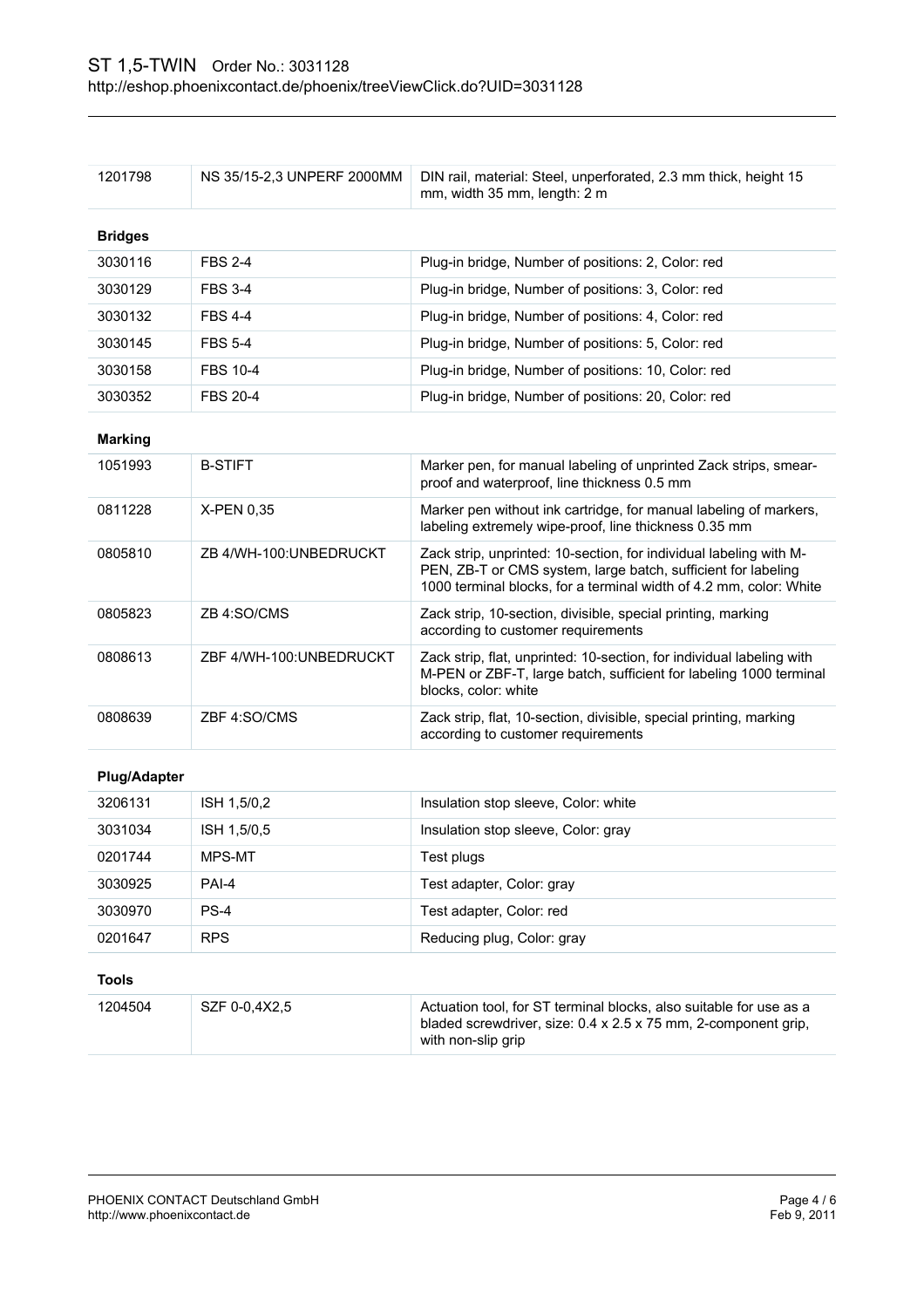| 1204504             | SZF 0-0,4X2,5              | Actuation tool, for ST terminal blocks, also suitable for use as a<br>bladed screwdriver, size: 0.4 x 2.5 x 75 mm, 2-component grip,<br>with non-slip grip                                                |
|---------------------|----------------------------|-----------------------------------------------------------------------------------------------------------------------------------------------------------------------------------------------------------|
| <b>Tools</b>        |                            |                                                                                                                                                                                                           |
| 0201647             | <b>RPS</b>                 | Reducing plug, Color: gray                                                                                                                                                                                |
| 3030970             | $PS-4$                     | Test adapter, Color: red                                                                                                                                                                                  |
| 3030925             | PAI-4                      | Test adapter, Color: gray                                                                                                                                                                                 |
| 0201744             | MPS-MT                     | Test plugs                                                                                                                                                                                                |
| 3031034             | ISH 1,5/0,5                | Insulation stop sleeve, Color: gray                                                                                                                                                                       |
| 3206131             | ISH 1,5/0,2                | Insulation stop sleeve, Color: white                                                                                                                                                                      |
| <b>Plug/Adapter</b> |                            |                                                                                                                                                                                                           |
| 0808639             | ZBF 4:SO/CMS               | Zack strip, flat, 10-section, divisible, special printing, marking<br>according to customer requirements                                                                                                  |
| 0808613             | ZBF 4/WH-100:UNBEDRUCKT    | Zack strip, flat, unprinted: 10-section, for individual labeling with<br>M-PEN or ZBF-T, large batch, sufficient for labeling 1000 terminal<br>blocks, color: white                                       |
| 0805823             | ZB 4:SO/CMS                | Zack strip, 10-section, divisible, special printing, marking<br>according to customer requirements                                                                                                        |
| 0805810             | ZB 4/WH-100:UNBEDRUCKT     | Zack strip, unprinted: 10-section, for individual labeling with M-<br>PEN, ZB-T or CMS system, large batch, sufficient for labeling<br>1000 terminal blocks, for a terminal width of 4.2 mm, color: White |
| 0811228             | X-PEN 0,35                 | Marker pen without ink cartridge, for manual labeling of markers,<br>labeling extremely wipe-proof, line thickness 0.35 mm                                                                                |
| 1051993             | <b>B-STIFT</b>             | Marker pen, for manual labeling of unprinted Zack strips, smear-<br>proof and waterproof, line thickness 0.5 mm                                                                                           |
| <b>Marking</b>      |                            |                                                                                                                                                                                                           |
| 3030352             | <b>FBS 20-4</b>            | Plug-in bridge, Number of positions: 20, Color: red                                                                                                                                                       |
| 3030158             | <b>FBS 10-4</b>            | Plug-in bridge, Number of positions: 10, Color: red                                                                                                                                                       |
| 3030145             | <b>FBS 5-4</b>             | Plug-in bridge, Number of positions: 5, Color: red                                                                                                                                                        |
| 3030132             | <b>FBS 4-4</b>             | Plug-in bridge, Number of positions: 4, Color: red                                                                                                                                                        |
| 3030129             | <b>FBS 3-4</b>             | Plug-in bridge, Number of positions: 3, Color: red                                                                                                                                                        |
| 3030116             | <b>FBS 2-4</b>             | Plug-in bridge, Number of positions: 2, Color: red                                                                                                                                                        |
| <b>Bridges</b>      |                            |                                                                                                                                                                                                           |
| 1201798             | NS 35/15-2,3 UNPERF 2000MM | DIN rail, material: Steel, unperforated, 2.3 mm thick, height 15<br>mm, width 35 mm, length: 2 m                                                                                                          |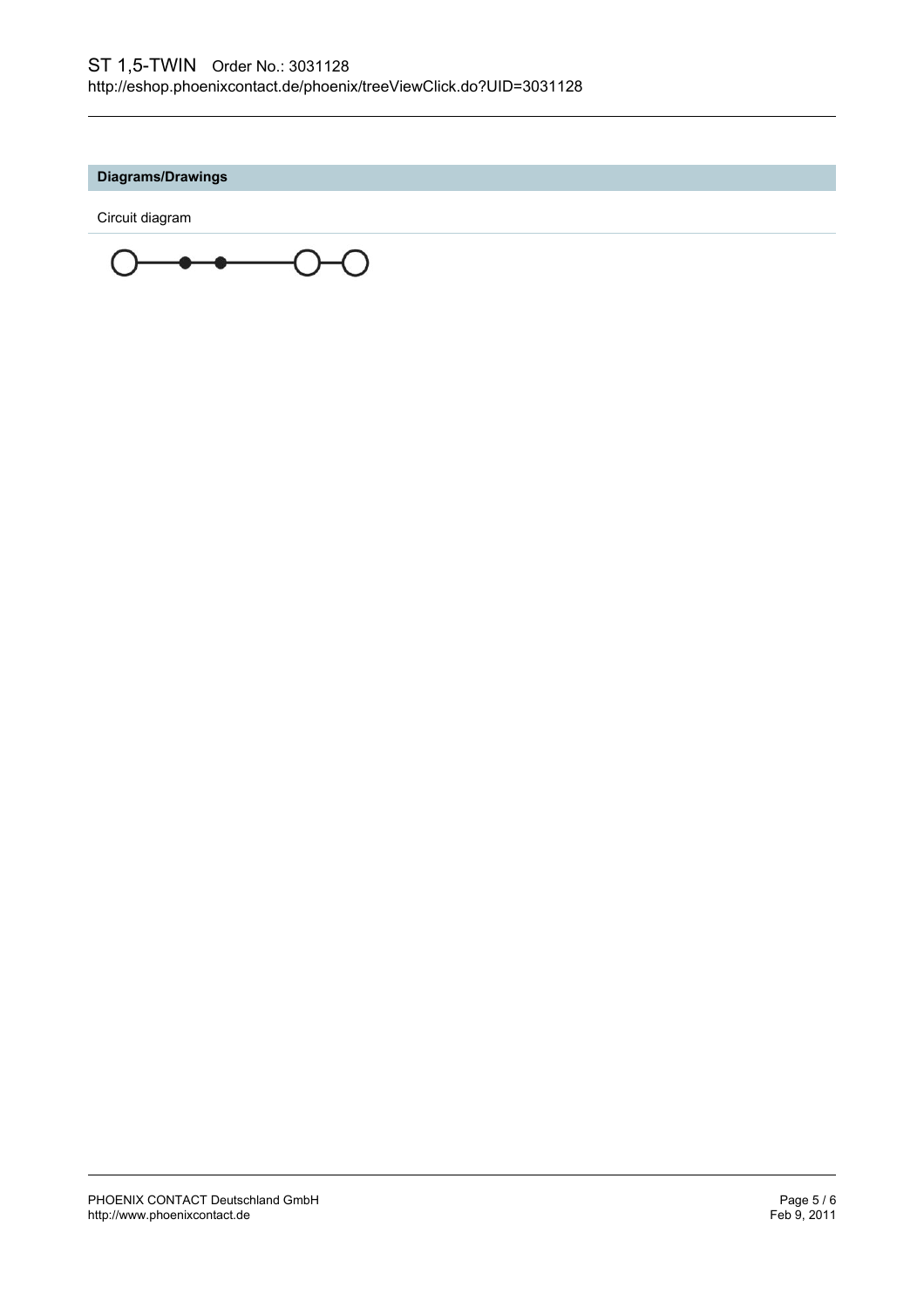## **Diagrams/Drawings**

Circuit diagram